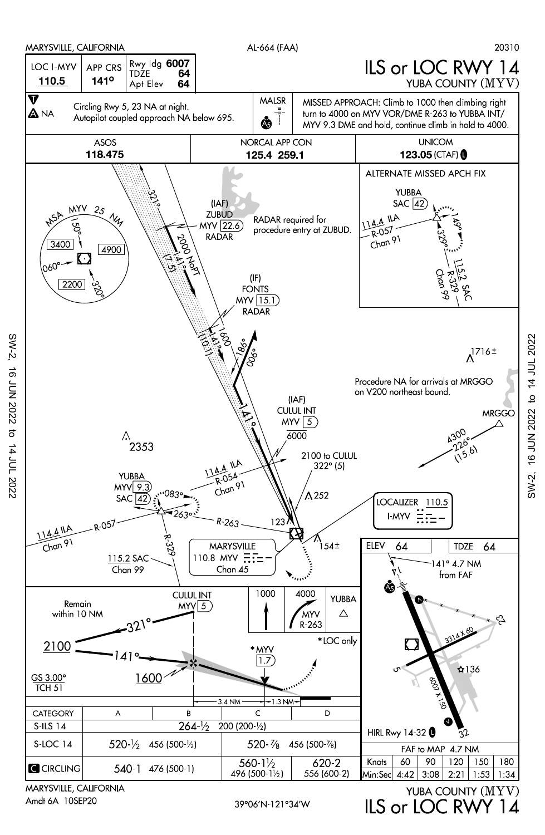

39°06'N 121°34'W

MARYSVILLE, CALIFORNIA Amdt 6A 10SEP20

 $SW-2$ 

16 JUN 2022

 $\vec{\sigma}$ 

14 JUL 2022

IS or IOC RWY 14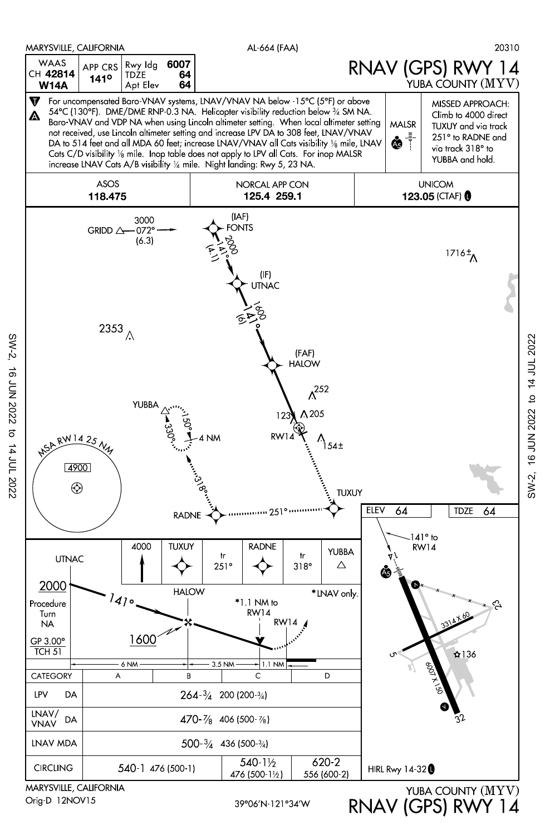

Orig-D 12NOV15

SW-2, 16 JUN 2022 to 14 JUL 2022

 $\vec{\sigma}$ 

14 JUL 2022

16 JUN 2022

 $SW-2$ 

RNAV (GPS) RWY 14